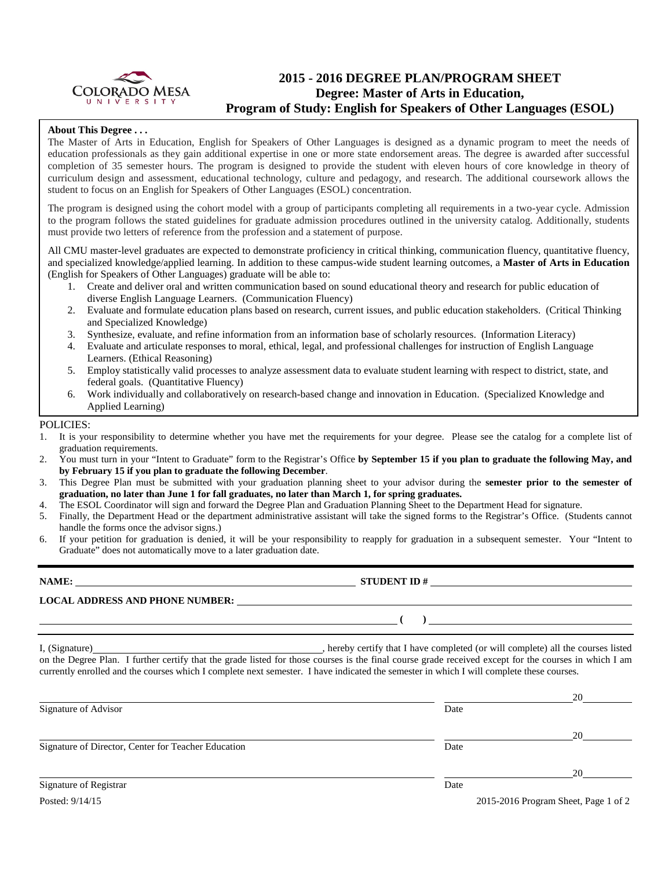

# **2015 - 2016 DEGREE PLAN/PROGRAM SHEET Degree: Master of Arts in Education, Program of Study: English for Speakers of Other Languages (ESOL)**

#### **About This Degree . . .**

The Master of Arts in Education, English for Speakers of Other Languages is designed as a dynamic program to meet the needs of education professionals as they gain additional expertise in one or more state endorsement areas. The degree is awarded after successful completion of 35 semester hours. The program is designed to provide the student with eleven hours of core knowledge in theory of curriculum design and assessment, educational technology, culture and pedagogy, and research. The additional coursework allows the student to focus on an English for Speakers of Other Languages (ESOL) concentration.

The program is designed using the cohort model with a group of participants completing all requirements in a two-year cycle. Admission to the program follows the stated guidelines for graduate admission procedures outlined in the university catalog. Additionally, students must provide two letters of reference from the profession and a statement of purpose.

All CMU master-level graduates are expected to demonstrate proficiency in critical thinking, communication fluency, quantitative fluency, and specialized knowledge/applied learning. In addition to these campus-wide student learning outcomes, a **Master of Arts in Education** (English for Speakers of Other Languages) graduate will be able to:

- 1. Create and deliver oral and written communication based on sound educational theory and research for public education of diverse English Language Learners. (Communication Fluency)
- 2. Evaluate and formulate education plans based on research, current issues, and public education stakeholders. (Critical Thinking and Specialized Knowledge)
- 3. Synthesize, evaluate, and refine information from an information base of scholarly resources. (Information Literacy)
- 4. Evaluate and articulate responses to moral, ethical, legal, and professional challenges for instruction of English Language Learners. (Ethical Reasoning)
- 5. Employ statistically valid processes to analyze assessment data to evaluate student learning with respect to district, state, and federal goals. (Quantitative Fluency)
- 6. Work individually and collaboratively on research-based change and innovation in Education. (Specialized Knowledge and Applied Learning)

#### POLICIES:

- 1. It is your responsibility to determine whether you have met the requirements for your degree. Please see the catalog for a complete list of graduation requirements.
- 2. You must turn in your "Intent to Graduate" form to the Registrar's Office **by September 15 if you plan to graduate the following May, and by February 15 if you plan to graduate the following December**.
- 3. This Degree Plan must be submitted with your graduation planning sheet to your advisor during the **semester prior to the semester of graduation, no later than June 1 for fall graduates, no later than March 1, for spring graduates.**
- 4. The ESOL Coordinator will sign and forward the Degree Plan and Graduation Planning Sheet to the Department Head for signature.
- 5. Finally, the Department Head or the department administrative assistant will take the signed forms to the Registrar's Office. (Students cannot handle the forms once the advisor signs.)
- 6. If your petition for graduation is denied, it will be your responsibility to reapply for graduation in a subsequent semester. Your "Intent to Graduate" does not automatically move to a later graduation date.

| NAME:                                  | <b>STUDENT ID#</b> |
|----------------------------------------|--------------------|
| <b>LOCAL ADDRESS AND PHONE NUMBER:</b> |                    |
|                                        |                    |

I, (Signature) , hereby certify that I have completed (or will complete) all the courses listed on the Degree Plan. I further certify that the grade listed for those courses is the final course grade received except for the courses in which I am currently enrolled and the courses which I complete next semester. I have indicated the semester in which I will complete these courses.

|                                                     |      | 20 |
|-----------------------------------------------------|------|----|
| Signature of Advisor                                | Date |    |
|                                                     |      | 20 |
| Signature of Director, Center for Teacher Education | Date |    |
|                                                     |      | 20 |
| Signature of Registrar                              | Date |    |

Posted: 9/14/15 2015-2016 Program Sheet, Page 1 of 2